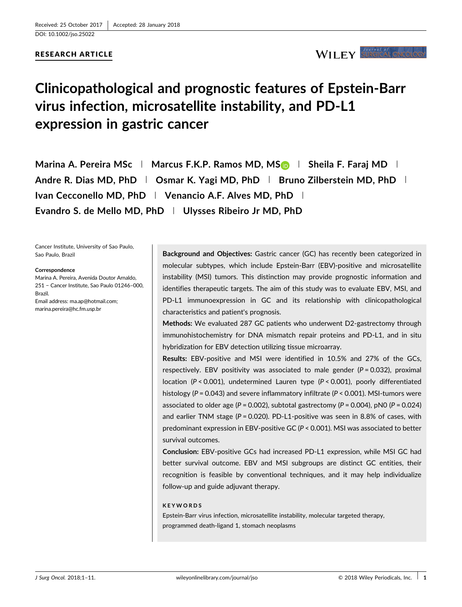RESEARCH ARTICLE

## WILEY SURGICAL ONCOLOR

# **Clinicopathological and prognostic features of Epstein-Barr virus infection, microsatellite instability, and PD-L1 expression in gastric cancer**

**Marina A. Pereira MSc <sup>|</sup> Marcus F.K.P. Ramos MD, MS <sup>|</sup> Sheila F. Faraj MD <sup>|</sup> Andre R. Dias MD, PhD <sup>|</sup> Osmar K. Yagi MD, PhD <sup>|</sup> Bruno Zilberstein MD, PhD <sup>|</sup> Ivan Cecconello MD, PhD <sup>|</sup> Venancio A.F. Alves MD, PhD <sup>|</sup> Evandro S. de Mello MD, PhD <sup>|</sup> Ulysses Ribeiro Jr MD, PhD**

Cancer Institute, University of Sao Paulo, Sao Paulo, Brazil

#### **Correspondence**

Marina A. Pereira, Avenida Doutor Arnaldo, 251 − Cancer Institute, Sao Paulo 01246–000, Brazil. Email address: ma.ap@hotmail.com; marina.pereira@hc.fm.usp.br

**Background and Objectives:** Gastric cancer (GC) has recently been categorized in molecular subtypes, which include Epstein-Barr (EBV)-positive and microsatellite instability (MSI) tumors. This distinction may provide prognostic information and identifies therapeutic targets. The aim of this study was to evaluate EBV, MSI, and PD-L1 immunoexpression in GC and its relationship with clinicopathological characteristics and patient's prognosis.

**Methods:** We evaluated 287 GC patients who underwent D2-gastrectomy through immunohistochemistry for DNA mismatch repair proteins and PD-L1, and in situ hybridization for EBV detection utilizing tissue microarray.

**Results:** EBV-positive and MSI were identified in 10.5% and 27% of the GCs, respectively. EBV positivity was associated to male gender  $(P = 0.032)$ , proximal location (*P* < 0.001), undetermined Lauren type (*P* < 0.001), poorly differentiated histology (*P* = 0.043) and severe inflammatory infiltrate (*P* < 0.001). MSI-tumors were associated to older age (*P* = 0.002), subtotal gastrectomy (*P* = 0.004), pN0 (*P* = 0.024) and earlier TNM stage (*P* = 0.020). PD-L1-positive was seen in 8.8% of cases, with predominant expression in EBV-positive GC (*P* < 0.001). MSI was associated to better survival outcomes.

**Conclusion:** EBV-positive GCs had increased PD-L1 expression, while MSI GC had better survival outcome. EBV and MSI subgroups are distinct GC entities, their recognition is feasible by conventional techniques, and it may help individualize follow-up and guide adjuvant therapy.

### **KEYWORDS**

Epstein-Barr virus infection, microsatellite instability, molecular targeted therapy, programmed death-ligand 1, stomach neoplasms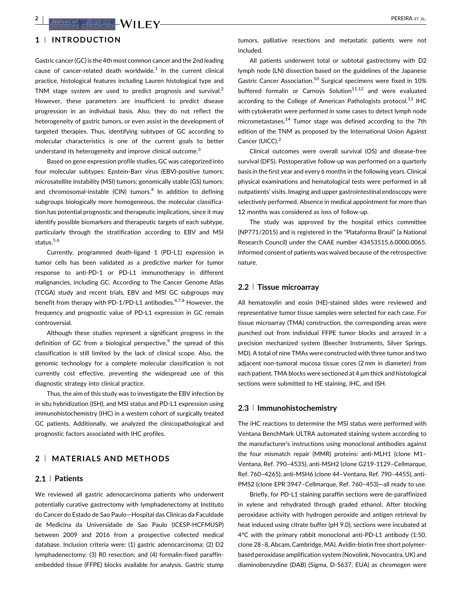## $\mathbf{Z}$  **PEREIRA** ET AL.

## **1** <sup>|</sup> **INTRODUCTION**

Gastric cancer (GC) is the 4th most common cancer and the 2nd leading cause of cancer-related death worldwide. $1$  [In the current clinical](#page-9-0) practice, histological features including Lauren histological type and TNM stage system are used to predict prognosis and survival.<sup>[2](#page-9-0)</sup> However, these parameters are insufficient to predict disease progression in an individual basis. Also, they do not reflect the heterogeneity of gastric tumors, or even assist in the development of targeted therapies. Thus, identifying subtypes of GC according to molecular characteristics is one of the current goals to better understand its heterogeneity and improve clinical outcome.<sup>[3](#page-9-0)</sup>

Based on gene expression profile studies, GC was categorized into four molecular subtypes: Epstein-Barr virus (EBV)-positive tumors; microsatellite instability (MSI) tumors; genomically stable (GS) tumors; and chromosomal-instable (CIN) tumors.<sup>4</sup> [In addition to defining](#page-9-0) subgroups biologically more homogeneous, the molecular classification has potential prognostic and therapeutic implications, since it may identify possible biomarkers and therapeutic targets of each subtype, particularly through the stratification according to EBV and MSI status.<sup>5,6</sup>

Currently, programmed death-ligand 1 (PD-L1) expression in tumor cells has been validated as a predictive marker for tumor response to anti-PD-1 or PD-L1 immunotherapy in different malignancies, including GC. According to The Cancer Genome Atlas (TCGA) study and recent trials, EBV and MSI GC subgroups may benefit from therapy with PD-1/PD-L1 antibodies. $47,8$  [However, the](#page-9-0) frequency and prognostic value of PD-L1 expression in GC remain controversial.

Although these studies represent a significant progress in the definition of GC from a biological perspective,<sup>9</sup> [the spread of this](#page-9-0) classification is still limited by the lack of clinical scope. Also, the genomic technology for a complete molecular classification is not currently cost effective, preventing the widespread use of this diagnostic strategy into clinical practice.

Thus, the aim of this study was to investigate the EBV infection by in situ hybridization (ISH), and MSI status and PD-L1 expression using immunohistochemistry (IHC) in a western cohort of surgically treated GC patients. Additionally, we analyzed the clinicopathological and prognostic factors associated with IHC profiles.

## **2** <sup>|</sup> **MATERIALS AND METHODS**

### **2.1** <sup>|</sup> **Patients**

We reviewed all gastric adenocarcinoma patients who underwent potentially curative gastrectomy with lymphadenectomy at Instituto do Cancer do Estado de Sao Paulo—Hospital das Clinicas da Faculdade de Medicina da Universidade de Sao Paulo (ICESP-HCFMUSP) between 2009 and 2016 from a prospective collected medical database. Inclusion criteria were: (1) gastric adenocarcinoma; (2) D2 lymphadenectomy; (3) R0 resection; and (4) formalin-fixed paraffinembedded tissue (FFPE) blocks available for analysis. Gastric stump

tumors, palliative resections and metastatic patients were not included.

All patients underwent total or subtotal gastrectomy with D2 lymph node (LN) dissection based on the guidelines of the Japanese Gastric Cancer Association.<sup>10</sup> [Surgical specimens were fixed in 10%](#page-9-0) buffered formalin or Carnovs Solution<sup>11,12</sup> [and were evaluated](#page-9-0) according to the College of American Pathologists protocol.<sup>13</sup> [IHC](#page-9-0) with cytokeratin were performed in some cases to detect lymph node micrometastases.14 [Tumor stage was defined according to the 7th](#page-9-0) edition of the TNM as proposed by the International Union Against Cancer (UICC).<sup>[2](#page-9-0)</sup>

Clinical outcomes were overall survival (OS) and disease-free survival (DFS). Postoperative follow-up was performed on a quarterly basis in the first year and every 6 months in the following years. Clinical physical examinations and hematological tests were performed in all outpatients' visits. Imaging and upper gastrointestinal endoscopy were selectively performed. Absence in medical appointment for more than 12 months was considered as loss of follow-up.

The study was approved by the hospital ethics committee (NP771/2015) and is registered in the "Plataforma Brasil" (a National Research Council) under the CAAE number 43453515.6.0000.0065. Informed consent of patients was waived because of the retrospective nature.

### **2.2** <sup>|</sup> **Tissue microarray**

All hematoxylin and eosin (HE)-stained slides were reviewed and representative tumor tissue samples were selected for each case. For tissue microarray (TMA) construction, the corresponding areas were punched out from individual FFPE tumor blocks and arrayed in a precision mechanized system (Beecher Instruments, Silver Springs, MD). A total of nine TMAs were constructed with three tumor and two adjacent non-tumoral mucosa tissue cores (2 mm in diameter) from each patient. TMA blocks were sectioned at 4 μm thick and histological sections were submitted to HE staining, IHC, and ISH.

## **2.3** <sup>|</sup> **Immunohistochemistry**

The iHC reactions to determine the MSI status were performed with Ventana BenchMark ULTRA automated staining system according to the manufacturer's instructions using monoclonal antibodies against the four mismatch repair (MMR) proteins: anti-MLH1 (clone M1– Ventana, Ref. 790–4535), anti-MSH2 (clone G219-1129–Cellmarque, Ref. 760–4265), anti-MSH6 (clone 44–Ventana, Ref. 790–4455), anti-PMS2 (clone EPR 3947–Cellmarque, Ref. 760–453)—all ready to use.

Briefly, for PD-L1 staining paraffin sections were de-paraffinized in xylene and rehydrated through graded ethanol. After blocking peroxidase activity with hydrogen peroxide and antigen retrieval by heat induced using citrate buffer (pH 9.0), sections were incubated at 4°C with the primary rabbit monoclonal anti-PD-L1 antibody (1:50, clone 28–8, Abcam, Cambridge, MA). Avidin-biotin free short polymerbased peroxidase amplification system (Novolink, Novocastra, UK) and diaminobenzydine (DAB) (Sigma, D-5637, EUA) as chromogen were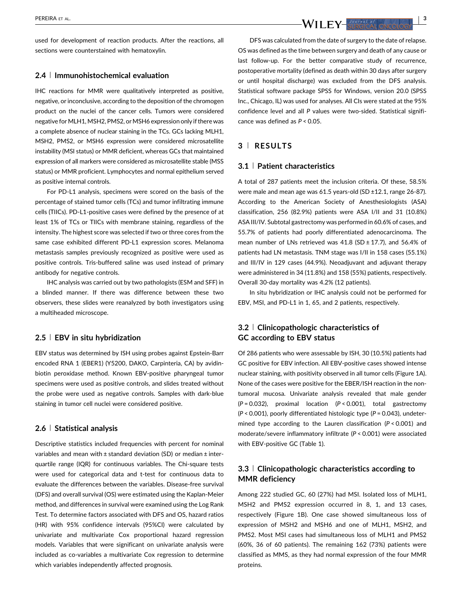er al. **1999 - September 2009 - September 2009 - September 2009 - September 2009 - September 2009 - September 2009 - September 2009 - September 2009 - September 2009 - September 2009 - September 2009 - September 2009 - Sep** 

used for development of reaction products. After the reactions, all sections were counterstained with hematoxylin.

## **2.4** <sup>|</sup> **Immunohistochemical evaluation**

IHC reactions for MMR were qualitatively interpreted as positive, negative, or inconclusive, according to the deposition of the chromogen product on the nuclei of the cancer cells. Tumors were considered negative for MLH1, MSH2, PMS2, or MSH6 expression only if there was a complete absence of nuclear staining in the TCs. GCs lacking MLH1, MSH2, PMS2, or MSH6 expression were considered microsatellite instability (MSI status) or MMR deficient, whereas GCs that maintained expression of all markers were considered as microsatellite stable (MSS status) or MMR proficient. Lymphocytes and normal epithelium served as positive internal controls.

For PD-L1 analysis, specimens were scored on the basis of the percentage of stained tumor cells (TCs) and tumor infiltrating immune cells (TIICs). PD-L1-positive cases were defined by the presence of at least 1% of TCs or TIICs with membrane staining, regardless of the intensity. The highest score was selected if two or three cores from the same case exhibited different PD-L1 expression scores. Melanoma metastasis samples previously recognized as positive were used as positive controls. Tris-buffered saline was used instead of primary antibody for negative controls.

IHC analysis was carried out by two pathologists (ESM and SFF) in a blinded manner. If there was difference between these two observers, these slides were reanalyzed by both investigators using a multiheaded microscope.

#### **2.5** <sup>|</sup> **EBV in situ hybridization**

EBV status was determined by ISH using probes against Epstein-Barr encoded RNA 1 (EBER1) (Y5200, DAKO, Carpinteria, CA) by avidinbiotin peroxidase method. Known EBV-positive pharyngeal tumor specimens were used as positive controls, and slides treated without the probe were used as negative controls. Samples with dark-blue staining in tumor cell nuclei were considered positive.

#### **2.6** <sup>|</sup> **Statistical analysis**

Descriptive statistics included frequencies with percent for nominal variables and mean with  $\pm$  standard deviation (SD) or median  $\pm$  interquartile range (IQR) for continuous variables. The Chi-square tests were used for categorical data and t-test for continuous data to evaluate the differences between the variables. Disease-free survival (DFS) and overall survival (OS) were estimated using the Kaplan-Meier method, and differences in survival were examined using the Log Rank Test. To determine factors associated with DFS and OS, hazard ratios (HR) with 95% confidence intervals (95%CI) were calculated by univariate and multivariate Cox proportional hazard regression models. Variables that were significant on univariate analysis were included as co-variables a multivariate Cox regression to determine which variables independently affected prognosis.

DFS was calculated from the date of surgery to the date of relapse. OS was defined as the time between surgery and death of any cause or last follow-up. For the better comparative study of recurrence, postoperative mortality (defined as death within 30 days after surgery or until hospital discharge) was excluded from the DFS analysis. Statistical software package SPSS for Windows, version 20.0 (SPSS Inc., Chicago, IL) was used for analyses. All CIs were stated at the 95% confidence level and all *P* values were two-sided. Statistical significance was defined as *P* < 0.05.

## **3** <sup>|</sup> **RESULTS**

### **3.1** <sup>|</sup> **Patient characteristics**

A total of 287 patients meet the inclusion criteria. Of these, 58.5% were male and mean age was 61.5 years-old (SD ±12.1, range 26-87). According to the American Society of Anesthesiologists (ASA) classification, 256 (82.9%) patients were ASA I/II and 31 (10.8%) ASA III/IV. Subtotal gastrectomy was performed in 60.6% of cases, and 55.7% of patients had poorly differentiated adenocarcinoma. The mean number of LNs retrieved was  $41.8$  (SD  $\pm$  17.7), and 56.4% of patients had LN metastasis. TNM stage was I/II in 158 cases (55.1%) and III/IV in 129 cases (44.9%). Neoadjuvant and adjuvant therapy were administered in 34 (11.8%) and 158 (55%) patients, respectively. Overall 30-day mortality was 4.2% (12 patients).

In situ hybridization or IHC analysis could not be performed for EBV, MSI, and PD-L1 in 1, 65, and 2 patients, respectively.

## **3.2** <sup>|</sup> **Clinicopathologic characteristics of GC according to EBV status**

Of 286 patients who were assessable by ISH, 30 (10.5%) patients had GC positive for EBV infection. All EBV-positive cases showed intense nuclear staining, with positivity observed in all tumor cells (Figure 1A). None of the cases were positive for the EBER/ISH reaction in the nontumoral mucosa. Univariate analysis revealed that male gender (*P* = 0.032), proximal location (*P* < 0.001), total gastrectomy (*P* < 0.001), poorly differentiated histologic type (*P* = 0.043), undetermined type according to the Lauren classification (*P* < 0.001) and moderate/severe inflammatory infiltrate (*P* < 0.001) were associated with EBV-positive GC (Table [1\)](#page-4-0).

## **3.3** <sup>|</sup> **Clinicopathologic characteristics according to MMR deficiency**

Among 222 studied GC, 60 (27%) had MSI. Isolated loss of MLH1, MSH2 and PMS2 expression occurred in 8, 1, and 13 cases, respectively (Figure 1B). One case showed simultaneous loss of expression of MSH2 and MSH6 and one of MLH1, MSH2, and PMS2. Most MSI cases had simultaneous loss of MLH1 and PMS2 (60%, 36 of 60 patients). The remaining 162 (73%) patients were classified as MMS, as they had normal expression of the four MMR proteins.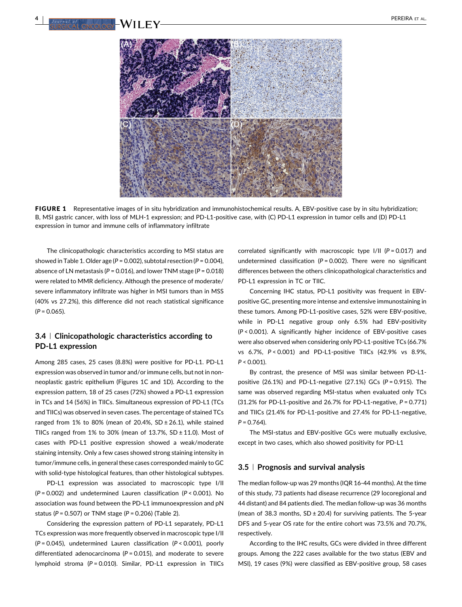

FIGURE 1 Representative images of in situ hybridization and immunohistochemical results. A, EBV-positive case by in situ hybridization; B, MSI gastric cancer, with loss of MLH-1 expression; and PD-L1-positive case, with (C) PD-L1 expression in tumor cells and (D) PD-L1 expression in tumor and immune cells of inflammatory infiltrate

The clinicopathologic characteristics according to MSI status are showed in Table [1](#page-4-0). Older age (*P* = 0.002), subtotal resection (*P* = 0.004), absence of LN metastasis (*P* = 0.016), and lower TNM stage (*P* = 0.018) were related to MMR deficiency. Although the presence of moderate/ severe inflammatory infiltrate was higher in MSI tumors than in MSS (40% vs 27.2%), this difference did not reach statistical significance (*P* = 0.065).

## **3.4** <sup>|</sup> **Clinicopathologic characteristics according to PD-L1 expression**

Among 285 cases, 25 cases (8.8%) were positive for PD-L1. PD-L1 expression was observed in tumor and/or immune cells, but not in nonneoplastic gastric epithelium (Figures 1C and 1D). According to the expression pattern, 18 of 25 cases (72%) showed a PD-L1 expression in TCs and 14 (56%) in TIICs. Simultaneous expression of PD-L1 (TCs and TIICs) was observed in seven cases. The percentage of stained TCs ranged from 1% to 80% (mean of 20.4%,  $SD \pm 26.1$ ), while stained TIICs ranged from  $1\%$  to  $30\%$  (mean of  $13.7\%$ , SD  $\pm$  11.0). Most of cases with PD-L1 positive expression showed a weak/moderate staining intensity. Only a few cases showed strong staining intensity in tumor/immune cells, in general these cases corresponded mainly to GC with solid-type histological features, than other histological subtypes.

PD-L1 expression was associated to macroscopic type I/II (*P* = 0.002) and undetermined Lauren classification (*P* < 0.001). No association was found between the PD-L1 immunoexpression and pN status (*P* = 0.507) or TNM stage (*P* = 0.206) (Table [2\)](#page-6-0).

Considering the expression pattern of PD-L1 separately, PD-L1 TCs expression was more frequently observed in macroscopic type I/II (*P* = 0.045), undetermined Lauren classification (*P* < 0.001), poorly differentiated adenocarcinoma (*P* = 0.015), and moderate to severe lymphoid stroma (*P* = 0.010). Similar, PD-L1 expression in TIICs correlated significantly with macroscopic type I/II (*P* = 0.017) and undetermined classification (*P* = 0.002). There were no significant differences between the others clinicopathological characteristics and PD-L1 expression in TC or TIIC.

Concerning IHC status, PD-L1 positivity was frequent in EBVpositive GC, presenting more intense and extensive immunostaining in these tumors. Among PD-L1-positive cases, 52% were EBV-positive, while in PD-L1 negative group only 6.5% had EBV-positivity (*P* < 0.001). A significantly higher incidence of EBV-positive cases were also observed when considering only PD-L1-positive TCs (66.7% vs 6.7%, *P* < 0.001) and PD-L1-positive TIICs (42.9% vs 8.9%, *P* < 0.001).

By contrast, the presence of MSI was similar between PD-L1 positive (26.1%) and PD-L1-negative (27.1%) GCs (*P* = 0.915). The same was observed regarding MSI-status when evaluated only TCs (31.2% for PD-L1-positive and 26.7% for PD-L1-negative, *P* = 0.771) and TIICs (21.4% for PD-L1-positive and 27.4% for PD-L1-negative, *P* = 0.764).

The MSI-status and EBV-positive GCs were mutually exclusive, except in two cases, which also showed positivity for PD-L1

## **3.5** <sup>|</sup> **Prognosis and survival analysis**

The median follow-up was 29 months (IQR 16-44 months). At the time of this study, 73 patients had disease recurrence (29 locoregional and 44 distant) and 84 patients died. The median follow-up was 36 months (mean of 38.3 months,  $SD \pm 20.4$ ) for surviving patients. The 5-year DFS and 5-year OS rate for the entire cohort was 73.5% and 70.7%, respectively.

According to the IHC results, GCs were divided in three different groups. Among the 222 cases available for the two status (EBV and MSI), 19 cases (9%) were classified as EBV-positive group, 58 cases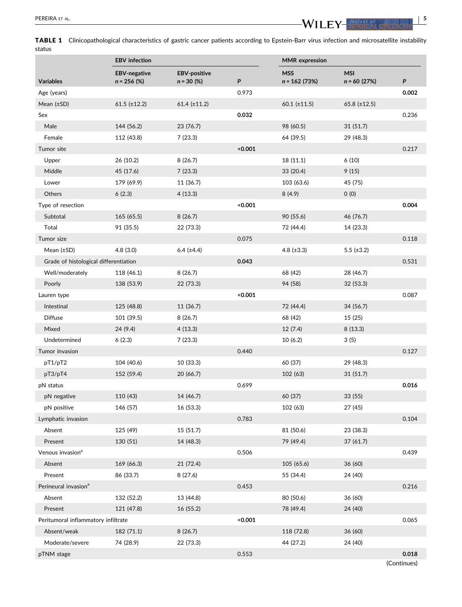<span id="page-4-0"></span>

TABLE 1 Clinicopathological characteristics of gastric cancer patients according to Epstein-Barr virus infection and microsatellite instability status

|                                       | <b>EBV</b> infection                 |                                     |         | <b>MMR</b> expression        |                              |             |
|---------------------------------------|--------------------------------------|-------------------------------------|---------|------------------------------|------------------------------|-------------|
| <b>Variables</b>                      | <b>EBV-negative</b><br>$n = 256$ (%) | <b>EBV-positive</b><br>$n = 30$ (%) | P       | <b>MSS</b><br>$n = 162(73%)$ | <b>MSI</b><br>$n = 60$ (27%) | P           |
| Age (years)                           |                                      |                                     | 0.973   |                              |                              | 0.002       |
| Mean $(\pm SD)$                       | $61.5$ (±12.2)                       | $61.4$ (±11.2)                      |         | $60.1$ ( $\pm$ 11.5)         | $65.8$ (±12.5)               |             |
| Sex                                   |                                      |                                     | 0.032   |                              |                              | 0.236       |
| Male                                  | 144 (56.2)                           | 23 (76.7)                           |         | 98 (60.5)                    | 31(51.7)                     |             |
| Female                                | 112 (43.8)                           | 7(23.3)                             |         | 64 (39.5)                    | 29 (48.3)                    |             |
| Tumor site                            |                                      |                                     | < 0.001 |                              |                              | 0.217       |
| Upper                                 | 26 (10.2)                            | 8(26.7)                             |         | 18 (11.1)                    | 6(10)                        |             |
| Middle                                | 45 (17.6)                            | 7(23.3)                             |         | 33(20.4)                     | 9(15)                        |             |
| Lower                                 | 179 (69.9)                           | 11 (36.7)                           |         | 103 (63.6)                   | 45 (75)                      |             |
| Others                                | 6(2.3)                               | 4(13.3)                             |         | 8(4.9)                       | 0(0)                         |             |
| Type of resection                     |                                      |                                     | < 0.001 |                              |                              | 0.004       |
| Subtotal                              | 165 (65.5)                           | 8(26.7)                             |         | 90 (55.6)                    | 46 (76.7)                    |             |
| Total                                 | 91 (35.5)                            | 22 (73.3)                           |         | 72 (44.4)                    | 14 (23.3)                    |             |
| Tumor size                            |                                      |                                     | 0.075   |                              |                              | 0.118       |
| Mean $(\pm SD)$                       | 4.8(3.0)                             | $6.4$ ( $\pm 4.4$ )                 |         | 4.8 $(\pm 3.3)$              | 5.5 $(\pm 3.2)$              |             |
| Grade of histological differentiation |                                      |                                     | 0.043   |                              |                              | 0.531       |
| Well/moderately                       | 118 (46.1)                           | 8(26.7)                             |         | 68 (42)                      | 28 (46.7)                    |             |
| Poorly                                | 138 (53.9)                           | 22 (73.3)                           |         | 94 (58)                      | 32(53.3)                     |             |
| Lauren type                           |                                      |                                     | < 0.001 |                              |                              | 0.087       |
| Intestinal                            | 125 (48.8)                           | 11 (36.7)                           |         | 72 (44.4)                    | 34 (56.7)                    |             |
| <b>Diffuse</b>                        | 101 (39.5)                           | 8(26.7)                             |         | 68 (42)                      | 15 (25)                      |             |
| Mixed                                 | 24 (9.4)                             | 4(13.3)                             |         | 12(7.4)                      | 8(13.3)                      |             |
| Undetermined                          | 6(2.3)                               | 7(23.3)                             |         | 10(6.2)                      | 3(5)                         |             |
| Tumor invasion                        |                                      |                                     | 0.440   |                              |                              | 0.127       |
| pT1/pT2                               | 104 (40.6)                           | 10(33.3)                            |         | 60 (37)                      | 29 (48.3)                    |             |
| pT3/pT4                               | 152 (59.4)                           | 20 (66.7)                           |         | 102 (63)                     | 31 (51.7)                    |             |
| pN status                             |                                      |                                     | 0.699   |                              |                              | 0.016       |
| pN negative                           | 110 (43)                             | 14 (46.7)                           |         | 60 (37)                      | 33(55)                       |             |
| pN positive                           | 146 (57)                             | 16 (53.3)                           |         | 102 (63)                     | 27 (45)                      |             |
| Lymphatic invasion                    |                                      |                                     | 0.783   |                              |                              | 0.104       |
| Absent                                | 125 (49)                             | 15 (51.7)                           |         | 81 (50.6)                    | 23 (38.3)                    |             |
| Present                               | 130 (51)                             | 14 (48.3)                           |         | 79 (49.4)                    | 37(61.7)                     |             |
| Venous invasion <sup>a</sup>          |                                      |                                     | 0.506   |                              |                              | 0.439       |
| Absent                                | 169 (66.3)                           | 21 (72.4)                           |         | 105 (65.6)                   | 36 (60)                      |             |
| Present                               | 86 (33.7)                            | 8(27.6)                             |         | 55 (34.4)                    | 24 (40)                      |             |
| Perineural invasion <sup>a</sup>      |                                      |                                     | 0.453   |                              |                              | 0.216       |
| Absent                                | 132 (52.2)                           | 13 (44.8)                           |         | 80 (50.6)                    | 36 (60)                      |             |
| Present                               | 121 (47.8)                           | 16 (55.2)                           |         | 78 (49.4)                    | 24 (40)                      |             |
| Peritumoral inflammatory infiltrate   |                                      |                                     | < 0.001 |                              |                              | 0.065       |
| Absent/weak                           | 182 (71.1)                           | 8(26.7)                             |         | 118 (72.8)                   | 36 (60)                      |             |
| Moderate/severe                       | 74 (28.9)                            | 22 (73.3)                           |         | 44 (27.2)                    | 24 (40)                      |             |
| pTNM stage                            |                                      |                                     | 0.553   |                              |                              | 0.018       |
|                                       |                                      |                                     |         |                              |                              | (Continues) |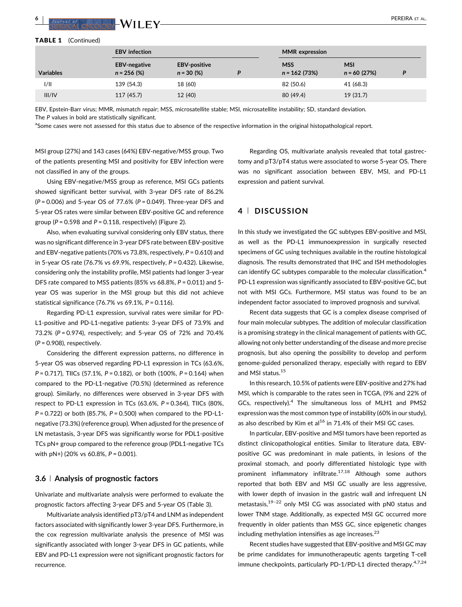<span id="page-5-0"></span>

#### TABLE 1 (Continued)

|                  | <b>EBV</b> infection                                                             |         |  | <b>MMR</b> expression        |                              |   |  |
|------------------|----------------------------------------------------------------------------------|---------|--|------------------------------|------------------------------|---|--|
| <b>Variables</b> | <b>EBV-negative</b><br><b>EBV-positive</b><br>$n = 256$ (%)<br>$n = 30 (%)$<br>D |         |  | <b>MSS</b><br>$n = 162(73%)$ | <b>MSI</b><br>$n = 60$ (27%) | P |  |
| 1/11             | 139 (54.3)                                                                       | 18 (60) |  | 82 (50.6)                    | 41 (68.3)                    |   |  |
| III/IV           | 117(45.7)                                                                        | 12 (40) |  | 80 (49.4)                    | 19(31.7)                     |   |  |

EBV, Epstein-Barr virus; MMR, mismatch repair; MSS, microsatellite stable; MSI, microsatellite instability; SD, standard deviation. The *P* values in bold are statistically significant.

<sup>a</sup>Some cases were not assessed for this status due to absence of the respective information in the original histopathological report.

MSI group (27%) and 143 cases (64%) EBV-negative/MSS group. Two of the patients presenting MSI and positivity for EBV infection were not classified in any of the groups.

Using EBV-negative/MSS group as reference, MSI GCs patients showed significant better survival, with 3-year DFS rate of 86.2% (*P* = 0.006) and 5-year OS of 77.6% (*P* = 0.049). Three-year DFS and 5-year OS rates were similar between EBV-positive GC and reference group (*P* = 0.598 and *P* = 0.118, respectively) (Figure 2).

Also, when evaluating survival considering only EBV status, there was no significant difference in 3-year DFS rate between EBV-positive and EBV-negative patients (70% vs 73.8%, respectively, *P* = 0.610) and in 5-year OS rate (76.7% vs 69.9%, respectively, *P* = 0.432). Likewise, considering only the instability profile, MSI patients had longer 3-year DFS rate compared to MSS patients (85% vs 68.8%, *P* = 0.011) and 5 year OS was superior in the MSI group but this did not achieve statistical significance (76.7% vs 69.1%, *P* = 0.116).

Regarding PD-L1 expression, survival rates were similar for PD-L1-positive and PD-L1-negative patients: 3-year DFS of 73.9% and 73.2% (*P* = 0.974), respectively; and 5-year OS of 72% and 70.4% (*P* = 0.908), respectively.

Considering the different expression patterns, no difference in 5-year OS was observed regarding PD-L1 expression in TCs (63.6%, *P* = 0.717), TIICs (57.1%, *P* = 0.182), or both (100%, *P* = 0.164) when compared to the PD-L1-negative (70.5%) (determined as reference group). Similarly, no differences were observed in 3-year DFS with respect to PD-L1 expression in TCs (63.6%, *P* = 0.364), TIICs (80%, *P* = 0.722) or both (85.7%, *P* = 0.500) when compared to the PD-L1 negative (73.3%) (reference group). When adjusted for the presence of LN metastasis, 3-year DFS was significantly worse for PDL1-positive TCs pN+ group compared to the reference group (PDL1-negative TCs with pN+) (20% vs 60.8%, *P* = 0.001).

### **3.6** <sup>|</sup> **Analysis of prognostic factors**

Univariate and multivariate analysis were performed to evaluate the prognostic factors affecting 3-year DFS and 5-year OS (Table [3\)](#page-8-0).

Multivariate analysis identified pT3/pT4 and LNM as independent factors associated with significantly lower 3-year DFS. Furthermore, in the cox regression multivariate analysis the presence of MSI was significantly associated with longer 3-year DFS in GC patients, while EBV and PD-L1 expression were not significant prognostic factors for recurrence.

Regarding OS, multivariate analysis revealed that total gastrectomy and pT3/pT4 status were associated to worse 5-year OS. There was no significant association between EBV, MSI, and PD-L1 expression and patient survival.

## **4** <sup>|</sup> **DISCUSSION**

In this study we investigated the GC subtypes EBV-positive and MSI, as well as the PD-L1 immunoexpression in surgically resected specimens of GC using techniques available in the routine histological diagnosis. The results demonstrated that IHC and ISH methodologies can identify GC subtypes comparable to the molecular classification.<sup>[4](#page-9-0)</sup> PD-L1 expression was significantly associated to EBV-positive GC, but not with MSI GCs. Furthermore, MSI status was found to be an independent factor associated to improved prognosis and survival.

Recent data suggests that GC is a complex disease comprised of four main molecular subtypes. The addition of molecular classification is a promising strategy in the clinical management of patients with GC, allowing not only better understanding of the disease and more precise prognosis, but also opening the possibility to develop and perform genome-guided personalized therapy, especially with regard to EBV and MSI status.<sup>[15](#page-9-0)</sup>

In this research, 10.5% of patients were EBV-positive and 27% had MSI, which is comparable to the rates seen in TCGA, (9% and 22% of GCs, respectively).<sup>4</sup> [The simultaneous loss of MLH1 and PMS2](#page-9-0) expression was the most common type of instability (60% in our study), as also described by Kim et al $^{16}$  [in 71.4% of their MSI GC cases.](#page-9-0)

In particular, EBV-positive and MSI tumors have been reported as distinct clinicopathological entities. Similar to literature data, EBVpositive GC was predominant in male patients, in lesions of the proximal stomach, and poorly differentiated histologic type with prominent inflammatory infiltrate.<sup>17,18</sup> [Although some authors](#page-9-0) reported that both EBV and MSI GC usually are less aggressive, with lower depth of invasion in the gastric wall and infrequent LN metastasis,<sup>19–22</sup> [only MSI CG was associated with pN0 status and](#page-9-0) lower TNM stage. Additionally, as expected MSI GC occurred more frequently in older patients than MSS GC, since epigenetic changes including methylation intensifies as age increases. $^{23}$  $^{23}$  $^{23}$ 

Recent studies have suggested that EBV-positive and MSI GC may be prime candidates for immunotherapeutic agents targeting T-cell immune checkpoints, particularly PD-1/PD-L1 directed therapy.<sup>4,7,24</sup>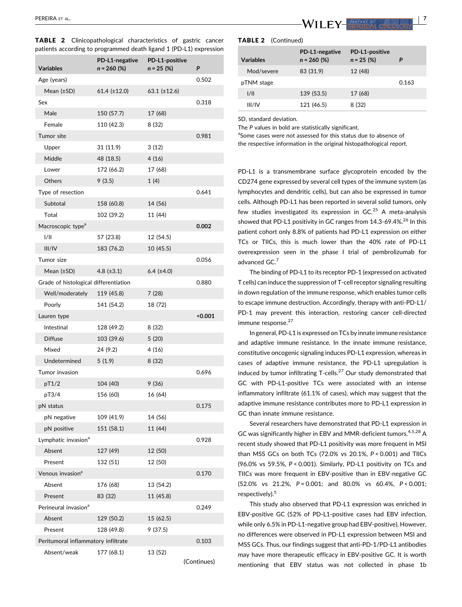|  | <b>TABLE 2</b> Clinicopathological characteristics of gastric cancer |  |  |
|--|----------------------------------------------------------------------|--|--|
|  | patients according to programmed death ligand 1 (PD-L1) expression   |  |  |

| Variables                             | PD-L1-negative<br>$n = 260$ (%) | PD-L1-positive<br>$n = 25 \ (%)$ | P       |
|---------------------------------------|---------------------------------|----------------------------------|---------|
| Age (years)                           |                                 |                                  | 0.502   |
| Mean (±SD)                            | $61.4$ (±12.0)                  | 63.1 $(\pm 12.6)$                |         |
| Sex                                   |                                 |                                  | 0.318   |
| Male                                  | 150 (57.7)                      | 17 (68)                          |         |
| Female                                | 110 (42.3)                      | 8 (32)                           |         |
| Tumor site                            |                                 |                                  | 0.981   |
| Upper                                 | 31 (11.9)                       | 3(12)                            |         |
| Middle                                | 48 (18.5)                       | 4(16)                            |         |
| Lower                                 | 172 (66.2)                      | 17 (68)                          |         |
| Others                                | 9(3.5)                          | 1(4)                             |         |
| Type of resection                     |                                 |                                  | 0.641   |
| Subtotal                              | 158 (60.8)                      | 14 (56)                          |         |
| Total                                 | 102 (39.2)                      | 11 (44)                          |         |
| Macroscopic type <sup>a</sup>         |                                 |                                  | 0.002   |
| 1/11                                  | 57 (23.8)                       | 12 (54.5)                        |         |
| III/IV                                | 183 (76.2)                      | 10 (45.5)                        |         |
| Tumor size                            |                                 |                                  | 0.056   |
| Mean $(\pm SD)$                       | 4.8 $(\pm 3.1)$                 | $6.4$ ( $\pm 4.0$ )              |         |
| Grade of histological differentiation |                                 |                                  | 0.880   |
| Well/moderately                       | 119 (45.8)                      | 7(28)                            |         |
| Poorly                                | 141 (54.2)                      | 18 (72)                          |         |
| Lauren type                           |                                 |                                  | < 0.001 |
| Intestinal                            | 128 (49.2)                      | 8 (32)                           |         |
| <b>Diffuse</b>                        | 103 (39.6)                      | 5(20)                            |         |
| Mixed                                 | 24 (9.2)                        | 4(16)                            |         |
| Undetermined                          | 5(1.9)                          | 8 (32)                           |         |
| Tumor invasion                        |                                 |                                  | 0.696   |
| pT1/2                                 | 104 (40)                        | 9(36)                            |         |
| pT3/4                                 | 156 (60)                        | 16 (64)                          |         |
| pN status                             |                                 |                                  | 0.175   |
| pN negative                           | 109 (41.9)                      | 14 (56)                          |         |
| pN positive                           | 151 (58.1)                      | 11 (44)                          |         |
| Lymphatic invasion <sup>a</sup>       |                                 |                                  | 0.928   |
| Absent                                | 127 (49)                        | 12 (50)                          |         |
| Present                               | 132 (51)                        | 12 (50)                          |         |
| Venous invasion <sup>a</sup>          |                                 |                                  | 0.170   |
| Absent                                | 176 (68)                        | 13 (54.2)                        |         |
| Present                               | 83 (32)                         | 11 (45.8)                        |         |
| Perineural invasion <sup>a</sup>      |                                 |                                  | 0.249   |
| Absent                                | 129 (50.2)                      | 15 (62.5)                        |         |
| Present                               | 128 (49.8)                      | 9 (37.5)                         |         |
| Peritumoral inflammatory infiltrate   |                                 |                                  | 0.103   |
| Absent/weak                           | 177 (68.1)                      | 13 (52)                          |         |

(Continues)

<span id="page-6-0"></span>

#### TABLE 2 (Continued)

| <b>Variables</b> | PD-L1-negative<br>$n = 260$ (%) | PD-L1-positive<br>$n = 25$ (%) |       |
|------------------|---------------------------------|--------------------------------|-------|
| Mod/severe       | 83 (31.9)                       | 12 (48)                        |       |
| pTNM stage       |                                 |                                | 0.163 |
| 1/11             | 139 (53.5)                      | 17 (68)                        |       |
| III/IV           | 121 (46.5)                      | 8 (32)                         |       |

SD, standard deviation.

The *P* values in bold are statistically significant.

<sup>a</sup>Some cases were not assessed for this status due to absence of the respective information in the original histopathological report.

PD-L1 is a transmembrane surface glycoprotein encoded by the CD274 gene expressed by several cell types of the immune system (as lymphocytes and dendritic cells), but can also be expressed in tumor cells. Although PD-L1 has been reported in several solid tumors, only few studies investigated its expression in  $GC^{25}$  [A meta-analysis](#page-9-0) showed that PD-L1 positivity in GC ranges from 14.3-69.4%.<sup>26</sup> [In this](#page-9-0) patient cohort only 8.8% of patients had PD-L1 expression on either TCs or TIICs, this is much lower than the 40% rate of PD-L1 overexpression seen in the phase I trial of pembrolizumab for advanced GC.[7](#page-9-0)

The binding of PD-L1 to its receptor PD-1 (expressed on activated T cells) can induce the suppression of T-cell receptor signaling resulting in down regulation of the immune response, which enables tumor cells to escape immune destruction. Accordingly, therapy with anti-PD-L1/ PD-1 may prevent this interaction, restoring cancer cell-directed immune response.<sup>27</sup>

In general, PD-L1 is expressed on TCs by innate immune resistance and adaptive immune resistance. In the innate immune resistance, constitutive oncogenic signaling induces PD-L1 expression, whereas in cases of adaptive immune resistance, the PD-L1 upregulation is induced by tumor infiltrating T-cells.<sup>27</sup> [Our study demonstrated that](#page-9-0) GC with PD-L1-positive TCs were associated with an intense inflammatory infiltrate (61.1% of cases), which may suggest that the adaptive immune resistance contributes more to PD-L1 expression in GC than innate immune resistance.

Several researchers have demonstrated that PD-L1 expression in GC was significantly higher in EBV and MMR-deficient tumors.<sup>[4,5,28](#page-9-0)</sup> A recent study showed that PD-L1 positivity was more frequent in MSI than MSS GCs on both TCs (72.0% vs 20.1%, *P* < 0.001) and TIICs (96.0% vs 59.5%, *P* < 0.001). Similarly, PD-L1 positivity on TCs and TIICs was more frequent in EBV-positive than in EBV-negative GC (52.0% vs 21.2%, *P* = 0.001; and 80.0% vs 60.4%, *P* < 0.001; respectively).<sup>5</sup>

This study also observed that PD-L1 expression was enriched in EBV-positive GC (52% of PD-L1-positive cases had EBV infection, while only 6.5% in PD-L1-negative group had EBV-positive). However, no differences were observed in PD-L1 expression between MSI and MSS GCs. Thus, our findings suggest that anti-PD-1/PD-L1 antibodies may have more therapeutic efficacy in EBV-positive GC. It is worth mentioning that EBV status was not collected in phase 1b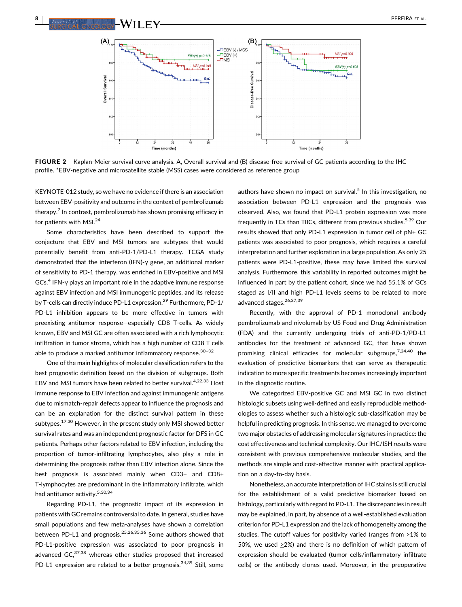



FIGURE 2 Kaplan-Meier survival curve analysis. A, Overall survival and (B) disease-free survival of GC patients according to the IHC profile. \*EBV-negative and microsatellite stable (MSS) cases were considered as reference group

KEYNOTE-012 study, so we have no evidence if there is an association between EBV-positivity and outcome in the context of pembrolizumab therapy.<sup>7</sup> [In contrast, pembrolizumab has shown promising efficacy in](#page-9-0) for patients with MSI.<sup>[24](#page-9-0)</sup>

Some characteristics have been described to support the conjecture that EBV and MSI tumors are subtypes that would potentially benefit from anti-PD-1/PD-L1 therapy. TCGA study demonstrated that the interferon (IFN)-γ gene, an additional marker of sensitivity to PD-1 therapy, was enriched in EBV-positive and MSI  $GCs<sup>4</sup>$  IFN- $\gamma$  [plays an important role in the adaptive immune response](#page-9-0) against EBV infection and MSI immunogenic peptides, and its release by T-cells can directly induce PD-L1 expression.<sup>29</sup> [Furthermore, PD-1/](#page-10-0) PD-L1 inhibition appears to be more effective in tumors with preexisting antitumor response—especially CD8 T-cells. As widely known, EBV and MSI GC are often associated with a rich lymphocytic infiltration in tumor stroma, which has a high number of CD8 T cells able to produce a marked antitumor inflammatory response.<sup>[30](#page-10-0)-32</sup>

One of the main highlights of molecular classification refers to the best prognostic definition based on the division of subgroups. Both EBV and MSI tumors have been related to better survival.<sup>4,22,33</sup> Host immune response to EBV infection and against immunogenic antigens due to mismatch-repair defects appear to influence the prognosis and can be an explanation for the distinct survival pattern in these subtypes.<sup>17,30</sup> [However, in the present study only MSI showed better](#page-9-0) survival rates and was an independent prognostic factor for DFS in GC patients. Perhaps other factors related to EBV infection, including the proportion of tumor-infiltrating lymphocytes, also play a role in determining the prognosis rather than EBV infection alone. Since the best prognosis is associated mainly when CD3+ and CD8+ T-lymphocytes are predominant in the inflammatory infiltrate, which had antitumor activity.[5,30,34](#page-9-0)

Regarding PD-L1, the prognostic impact of its expression in patients with GC remains controversial to date. In general, studies have small populations and few meta-analyses have shown a correlation between PD-L1 and prognosis.25,26,35,36 [Some authors showed that](#page-9-0) PD-L1-positive expression was associated to poor prognosis in advanced GC.<sup>37,38</sup> [whereas other studies proposed that increased](#page-10-0) PD-L1 expression are related to a better prognosis.<sup>34,39</sup> [Still, some](#page-10-0)

authors have shown no impact on survival.<sup>5</sup> [In this investigation, no](#page-9-0) association between PD-L1 expression and the prognosis was observed. Also, we found that PD-L1 protein expression was more frequently in TCs than TIICs, different from previous studies.<sup>5,39</sup> [Our](#page-9-0) results showed that only PD-L1 expression in tumor cell of pN+ GC patients was associated to poor prognosis, which requires a careful interpretation and further exploration in a large population. As only 25 patients were PD-L1-positive, these may have limited the survival analysis. Furthermore, this variability in reported outcomes might be influenced in part by the patient cohort, since we had 55.1% of GCs staged as I/II and high PD-L1 levels seems to be related to more advanced stages.<sup>[26,37,39](#page-9-0)</sup>

Recently, with the approval of PD-1 monoclonal antibody pembrolizumab and nivolumab by US Food and Drug Administration (FDA) and the currently undergoing trials of anti-PD-1/PD-L1 antibodies for the treatment of advanced GC, that have shown promising clinical efficacies for molecular subgroups, $7,24,40$  [the](#page-9-0) evaluation of predictive biomarkers that can serve as therapeutic indication to more specific treatments becomes increasingly important in the diagnostic routine.

We categorized EBV-positive GC and MSI GC in two distinct histologic subsets using well-defined and easily reproducible methodologies to assess whether such a histologic sub-classification may be helpful in predicting prognosis. In this sense, we managed to overcome two major obstacles of addressing molecular signatures in practice: the cost effectiveness and technical complexity. Our IHC/ISH results were consistent with previous comprehensive molecular studies, and the methods are simple and cost-effective manner with practical application on a day-to-day basis.

Nonetheless, an accurate interpretation of IHC stains is still crucial for the establishment of a valid predictive biomarker based on histology, particularly with regard to PD-L1. The discrepancies in result may be explained, in part, by absence of a well-established evaluation criterion for PD-L1 expression and the lack of homogeneity among the studies. The cutoff values for positivity varied (ranges from >1% to 50%, we used  $\geq$ 2%) and there is no definition of which pattern of expression should be evaluated (tumor cells/inflammatory infiltrate cells) or the antibody clones used. Moreover, in the preoperative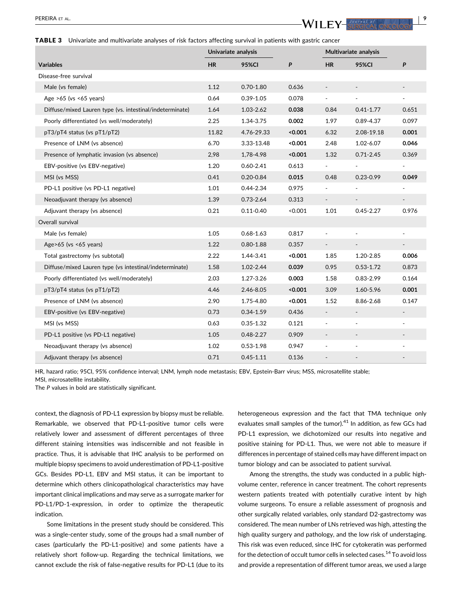#### <span id="page-8-0"></span>TABLE 3 Univariate and multivariate analyses of risk factors affecting survival in patients with gastric cancer

|                                                          | Univariate analysis |               |         | Multivariate analysis    |                          |                          |
|----------------------------------------------------------|---------------------|---------------|---------|--------------------------|--------------------------|--------------------------|
| <b>Variables</b>                                         | <b>HR</b>           | <b>95%CI</b>  | P       | <b>HR</b>                | <b>95%CI</b>             | P                        |
| Disease-free survival                                    |                     |               |         |                          |                          |                          |
| Male (vs female)                                         | 1.12                | $0.70 - 1.80$ | 0.636   |                          |                          |                          |
| Age $>65$ (vs $<65$ years)                               | 0.64                | $0.39 - 1.05$ | 0.078   | $\blacksquare$           | ٠                        | $\blacksquare$           |
| Diffuse/mixed Lauren type (vs. intestinal/indeterminate) | 1.64                | 1.03-2.62     | 0.038   | 0.84                     | $0.41 - 1.77$            | 0.651                    |
| Poorly differentiated (vs well/moderately)               | 2.25                | 1.34-3.75     | 0.002   | 1.97                     | $0.89 - 4.37$            | 0.097                    |
| pT3/pT4 status (vs pT1/pT2)                              | 11.82               | 4.76-29.33    | < 0.001 | 6.32                     | 2.08-19.18               | 0.001                    |
| Presence of LNM (vs absence)                             | 6.70                | 3.33-13.48    | < 0.001 | 2.48                     | 1.02-6.07                | 0.046                    |
| Presence of lymphatic invasion (vs absence)              | 2,98                | 1,78-4.98     | < 0.001 | 1.32                     | $0.71 - 2.45$            | 0.369                    |
| EBV-positive (vs EBV-negative)                           | 1.20                | $0.60 - 2.41$ | 0.613   | ä,                       | ÷.                       | $\overline{\phantom{a}}$ |
| MSI (vs MSS)                                             | 0.41                | $0.20 - 0.84$ | 0.015   | 0.48                     | $0.23 - 0.99$            | 0.049                    |
| PD-L1 positive (vs PD-L1 negative)                       | 1.01                | $0.44 - 2.34$ | 0.975   |                          |                          |                          |
| Neoadjuvant therapy (vs absence)                         | 1.39                | $0.73 - 2.64$ | 0.313   | $\overline{\phantom{a}}$ | $\overline{\phantom{a}}$ | $\overline{\phantom{a}}$ |
| Adjuvant therapy (vs absence)                            | 0.21                | $0.11 - 0.40$ | < 0.001 | 1.01                     | $0.45 - 2.27$            | 0.976                    |
| Overall survival                                         |                     |               |         |                          |                          |                          |
| Male (vs female)                                         | 1.05                | $0.68 - 1.63$ | 0.817   | ÷,                       | $\blacksquare$           | $\blacksquare$           |
| Age $>65$ (vs $<65$ years)                               | 1.22                | $0.80 - 1.88$ | 0.357   | $\overline{\phantom{m}}$ |                          |                          |
| Total gastrectomy (vs subtotal)                          | 2.22                | 1.44-3.41     | < 0.001 | 1.85                     | 1.20-2.85                | 0.006                    |
| Diffuse/mixed Lauren type (vs intestinal/indeterminate)  | 1.58                | 1.02-2.44     | 0.039   | 0.95                     | $0.53 - 1.72$            | 0.873                    |
| Poorly differentiated (vs well/moderately)               | 2.03                | 1.27-3.26     | 0.003   | 1.58                     | $0.83 - 2.99$            | 0.164                    |
| pT3/pT4 status (vs pT1/pT2)                              | 4.46                | 2.46-8.05     | < 0.001 | 3.09                     | 1.60-5.96                | 0.001                    |
| Presence of LNM (vs absence)                             | 2.90                | 1.75-4.80     | < 0.001 | 1.52                     | 8.86-2.68                | 0.147                    |
| EBV-positive (vs EBV-negative)                           | 0.73                | $0.34 - 1.59$ | 0.436   |                          |                          |                          |
| MSI (vs MSS)                                             | 0.63                | $0.35 - 1.32$ | 0.121   | $\overline{\phantom{a}}$ | ä,                       | ä,                       |
| PD-L1 positive (vs PD-L1 negative)                       | 1.05                | $0.48 - 2.27$ | 0.909   | $\overline{\phantom{a}}$ | $\overline{\phantom{a}}$ | $\overline{\phantom{a}}$ |
| Neoadjuvant therapy (vs absence)                         | 1.02                | $0.53 - 1.98$ | 0.947   |                          | ÷,                       |                          |
| Adjuvant therapy (vs absence)                            | 0.71                | $0.45 - 1.11$ | 0.136   |                          |                          |                          |

HR, hazard ratio; 95CI, 95% confidence interval; LNM, lymph node metastasis; EBV, Epstein-Barr virus; MSS, microsatellite stable;

MSI, microsatellite instability.

The *P* values in bold are statistically significant.

context, the diagnosis of PD-L1 expression by biopsy must be reliable. Remarkable, we observed that PD-L1-positive tumor cells were relatively lower and assessment of different percentages of three different staining intensities was indiscernible and not feasible in practice. Thus, it is advisable that IHC analysis to be performed on multiple biopsy specimens to avoid underestimation of PD-L1-positive GCs. Besides PD-L1, EBV and MSI status, it can be important to determine which others clinicopathological characteristics may have important clinical implications and may serve as a surrogate marker for PD-L1/PD-1-expression, in order to optimize the therapeutic indication.

Some limitations in the present study should be considered. This was a single-center study, some of the groups had a small number of cases (particularly the PD-L1-positive) and some patients have a relatively short follow-up. Regarding the technical limitations, we cannot exclude the risk of false-negative results for PD-L1 (due to its

heterogeneous expression and the fact that TMA technique only evaluates small samples of the tumor).<sup>41</sup> [In addition, as few GCs had](#page-10-0) PD-L1 expression, we dichotomized our results into negative and positive staining for PD-L1. Thus, we were not able to measure if differences in percentage of stained cells may have different impact on tumor biology and can be associated to patient survival.

Among the strengths, the study was conducted in a public highvolume center, reference in cancer treatment. The cohort represents western patients treated with potentially curative intent by high volume surgeons. To ensure a reliable assessment of prognosis and other surgically related variables, only standard D2-gastrectomy was considered. The mean number of LNs retrieved was high, attesting the high quality surgery and pathology, and the low risk of understaging. This risk was even reduced, since IHC for cytokeratin was performed for the detection of occult tumor cells in selected cases.<sup>14</sup> [To avoid loss](#page-9-0) and provide a representation of different tumor areas, we used a large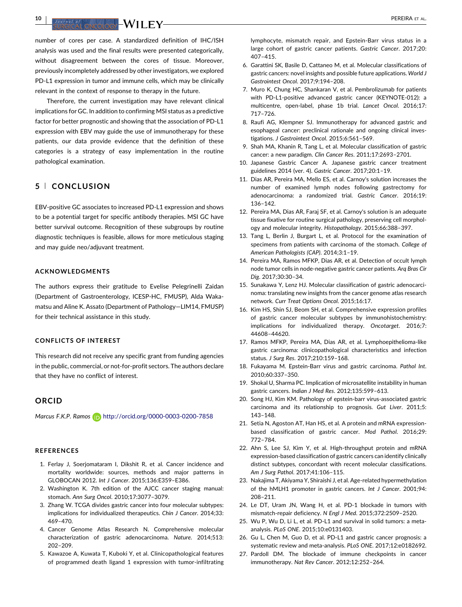<span id="page-9-0"></span>**10** | PEREIRA ET AL. **III | III | III | III | III** | III | III | III | III | III | III | III | III | III | III | III | III | III | III | III | III | III | III | III | III | III | III | III | III | III | III | III | III |

number of cores per case. A standardized definition of IHC/ISH analysis was used and the final results were presented categorically, without disagreement between the cores of tissue. Moreover, previously incompletely addressed by other investigators, we explored PD-L1 expression in tumor and immune cells, which may be clinically relevant in the context of response to therapy in the future.

Therefore, the current investigation may have relevant clinical implications for GC. In addition to confirming MSI status as a predictive factor for better prognostic and showing that the association of PD-L1 expression with EBV may guide the use of immunotherapy for these patients, our data provide evidence that the definition of these categories is a strategy of easy implementation in the routine pathological examination.

## **5** <sup>|</sup> **CONCLUSION**

EBV-positive GC associates to increased PD-L1 expression and shows to be a potential target for specific antibody therapies. MSI GC have better survival outcome. Recognition of these subgroups by routine diagnostic techniques is feasible, allows for more meticulous staging and may guide neo/adjuvant treatment.

## **ACKNOWLEDGMENTS**

The authors express their gratitude to Evelise Pelegrinelli Zaidan (Department of Gastroenterology, ICESP-HC, FMUSP), Alda Wakamatsu and Aline K. Assato (Department of Pathology—LIM14, FMUSP) for their technical assistance in this study.

## **CONFLICTS OF INTEREST**

This research did not receive any specific grant from funding agencies in the public, commercial, or not-for-profit sectors. The authors declare that they have no conflict of interest.

## **ORCID**

*Marcus F.K.P. Ramos* http://orcid.org/0000-0003-0200-7858

#### **REFERENCES**

- 1. Ferlay J, Soerjomataram I, Dikshit R, et al. Cancer incidence and mortality worldwide: sources, methods and major patterns in GLOBOCAN 2012. *Int J Cancer*. 2015;136:E359–E386.
- 2. Washington K. 7th edition of the AJCC cancer staging manual: stomach. *Ann Surg Oncol*. 2010;17:3077–3079.
- 3. Zhang W. TCGA divides gastric cancer into four molecular subtypes: implications for individualized therapeutics. *Chin J Cancer*. 2014;33: 469–470.
- 4. Cancer Genome Atlas Research N. Comprehensive molecular characterization of gastric adenocarcinoma. *Nature*. 2014;513: 202–209.
- 5. Kawazoe A, Kuwata T, Kuboki Y, et al. Clinicopathological features of programmed death ligand 1 expression with tumor-infiltrating

lymphocyte, mismatch repair, and Epstein-Barr virus status in a large cohort of gastric cancer patients. *Gastric Cancer*. 2017;20: 407–415.

- 6. Garattini SK, Basile D, Cattaneo M, et al. Molecular classifications of gastric cancers: novel insights and possible future applications. *World J Gastrointest Oncol*. 2017;9:194–208.
- 7. Muro K, Chung HC, Shankaran V, et al. Pembrolizumab for patients with PD-L1-positive advanced gastric cancer (KEYNOTE-012): a multicentre, open-label, phase 1b trial. *Lancet Oncol*. 2016;17: 717–726.
- 8. Raufi AG, Klempner SJ. Immunotherapy for advanced gastric and esophageal cancer: preclinical rationale and ongoing clinical investigations. *J Gastrointest Oncol*. 2015;6:561–569.
- 9. Shah MA, Khanin R, Tang L, et al. Molecular classification of gastric cancer: a new paradigm. *Clin Cancer Res*. 2011;17:2693–2701.
- 10. Japanese Gastric Cancer A. Japanese gastric cancer treatment guidelines 2014 (ver. 4). *Gastric Cancer*. 2017;20:1–19.
- 11. Dias AR, Pereira MA, Mello ES, et al. Carnoy's solution increases the number of examined lymph nodes following gastrectomy for adenocarcinoma: a randomized trial. *Gastric Cancer*. 2016;19: 136–142.
- 12. Pereira MA, Dias AR, Faraj SF, et al. Carnoy's solution is an adequate tissue fixative for routine surgical pathology, preserving cell morphology and molecular integrity. *Histopathology*. 2015;66:388–397.
- 13. Tang L, Berlin J, Burgart L, et al. Protocol for the examination of specimens from patients with carcinoma of the stomach. *College of American Pathologists (CAP)*. 2014;3:1–19.
- 14. Pereira MA, Ramos MFKP, Dias AR, et al. Detection of occult lymph node tumor cells in node-negative gastric cancer patients. *Arq Bras Cir Dig*. 2017;30:30–34.
- 15. Sunakawa Y, Lenz HJ. Molecular classification of gastric adenocarcinoma: translating new insights from the cancer genome atlas research network. *Curr Treat Options Oncol*. 2015;16:17.
- 16. Kim HS, Shin SJ, Beom SH, et al. Comprehensive expression profiles of gastric cancer molecular subtypes by immunohistochemistry: implications for individualized therapy. *Oncotarget*. 2016;7: 44608–44620.
- 17. Ramos MFKP, Pereira MA, Dias AR, et al. Lymphoepithelioma-like gastric carcinoma: clinicopathological characteristics and infection status. *J Surg Res*. 2017;210:159–168.
- 18. Fukayama M. Epstein-Barr virus and gastric carcinoma. *Pathol Int*. 2010;60:337–350.
- 19. Shokal U, Sharma PC. Implication of microsatellite instability in human gastric cancers. *Indian J Med Res*. 2012;135:599–613.
- 20. Song HJ, Kim KM. Pathology of epstein-barr virus-associated gastric carcinoma and its relationship to prognosis. *Gut Liver*. 2011;5: 143–148.
- 21. Setia N, Agoston AT, Han HS, et al. A protein and mRNA expressionbased classification of gastric cancer. *Mod Pathol*. 2016;29: 772–784.
- 22. Ahn S, Lee SJ, Kim Y, et al. High-throughput protein and mRNA expression-based classification of gastric cancers can identify clinically distinct subtypes, concordant with recent molecular classifications. *Am J Surg Pathol*. 2017;41:106–115.
- 23. Nakajima T, Akiyama Y, Shiraishi J, et al. Age-related hypermethylation of the hMLH1 promoter in gastric cancers. *Int J Cancer*. 2001;94: 208–211.
- 24. Le DT, Uram JN, Wang H, et al. PD-1 blockade in tumors with mismatch-repair deficiency. *N Engl J Med*. 2015;372:2509–2520.
- 25. Wu P, Wu D, Li L, et al. PD-L1 and survival in solid tumors: a metaanalysis. *PLoS ONE*. 2015;10:e0131403.
- 26. Gu L, Chen M, Guo D, et al. PD-L1 and gastric cancer prognosis: a systematic review and meta-analysis. *PLoS ONE*. 2017;12:e0182692.
- 27. Pardoll DM. The blockade of immune checkpoints in cancer immunotherapy. *Nat Rev Cancer*. 2012;12:252–264.